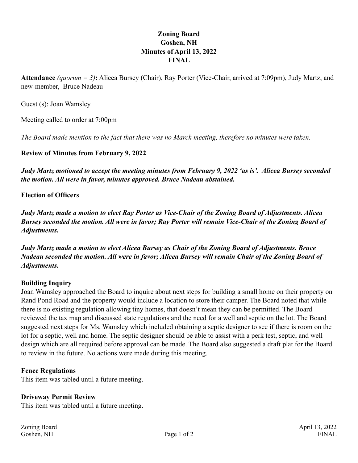# **Zoning Board Goshen, NH Minutes of April 13, 2022 FINAL**

**Attendance** *(quorum = 3)***:** Alicea Bursey (Chair), Ray Porter (Vice-Chair, arrived at 7:09pm), Judy Martz, and new-member, Bruce Nadeau

Guest (s): Joan Wamsley

Meeting called to order at 7:00pm

*The Board made mention to the fact that there was no March meeting, therefore no minutes were taken.* 

**Review of Minutes from February 9, 2022**

*Judy Martz motioned to accept the meeting minutes from February 9, 2022 'as is'. Alicea Bursey seconded the motion. All were in favor, minutes approved. Bruce Nadeau abstained.* 

#### **Election of Officers**

*Judy Martz made a motion to elect Ray Porter as Vice-Chair of the Zoning Board of Adjustments. Alicea Bursey seconded the motion. All were in favor; Ray Porter will remain Vice-Chair of the Zoning Board of Adjustments.* 

*Judy Martz made a motion to elect Alicea Bursey as Chair of the Zoning Board of Adjustments. Bruce Nadeau seconded the motion. All were in favor; Alicea Bursey will remain Chair of the Zoning Board of Adjustments.*

### **Building Inquiry**

Joan Wamsley approached the Board to inquire about next steps for building a small home on their property on Rand Pond Road and the property would include a location to store their camper. The Board noted that while there is no existing regulation allowing tiny homes, that doesn't mean they can be permitted. The Board reviewed the tax map and discussed state regulations and the need for a well and septic on the lot. The Board suggested next steps for Ms. Wamsley which included obtaining a septic designer to see if there is room on the lot for a septic, well and home. The septic designer should be able to assist with a perk test, septic, and well design which are all required before approval can be made. The Board also suggested a draft plat for the Board to review in the future. No actions were made during this meeting.

### **Fence Regulations**

This item was tabled until a future meeting.

### **Driveway Permit Review**

This item was tabled until a future meeting.